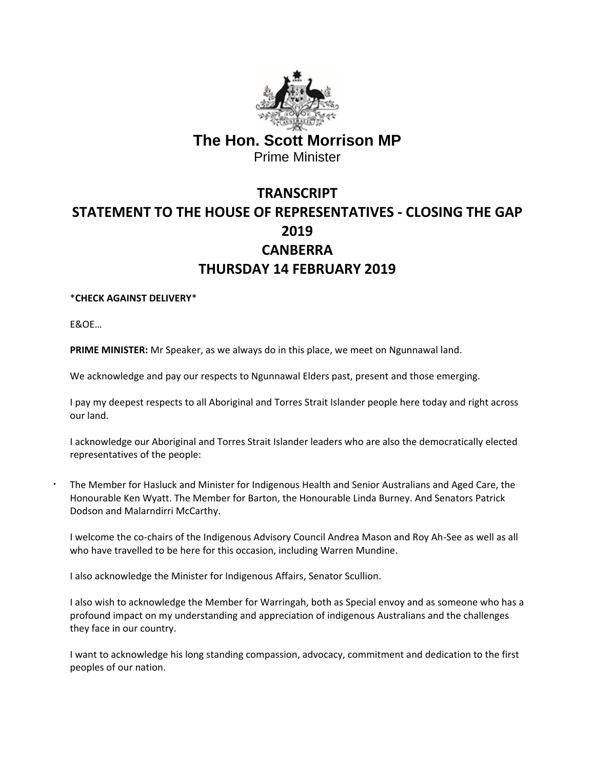

## **The Hon. Scott Morrison MP** Prime Minister

## **TRANSCRIPT STATEMENT TO THE HOUSE OF REPRESENTATIVES - CLOSING THE GAP 2019 CANBERRA THURSDAY 14 FEBRUARY 2019**

## \***CHECK AGAINST DELIVERY**\*

E&OE…

**PRIME MINISTER:** Mr Speaker, as we always do in this place, we meet on Ngunnawal land.

We acknowledge and pay our respects to Ngunnawal Elders past, present and those emerging.

I pay my deepest respects to all Aboriginal and Torres Strait Islander people here today and right across our land.

I acknowledge our Aboriginal and Torres Strait Islander leaders who are also the democratically elected representatives of the people:

The Member for Hasluck and Minister for Indigenous Health and Senior Australians and Aged Care, the Honourable Ken Wyatt. The Member for Barton, the Honourable Linda Burney. And Senators Patrick Dodson and Malarndirri McCarthy.

I welcome the co-chairs of the Indigenous Advisory Council Andrea Mason and Roy Ah-See as well as all who have travelled to be here for this occasion, including Warren Mundine.

I also acknowledge the Minister for Indigenous Affairs, Senator Scullion.

I also wish to acknowledge the Member for Warringah, both as Special envoy and as someone who has a profound impact on my understanding and appreciation of indigenous Australians and the challenges they face in our country.

I want to acknowledge his long standing compassion, advocacy, commitment and dedication to the first peoples of our nation.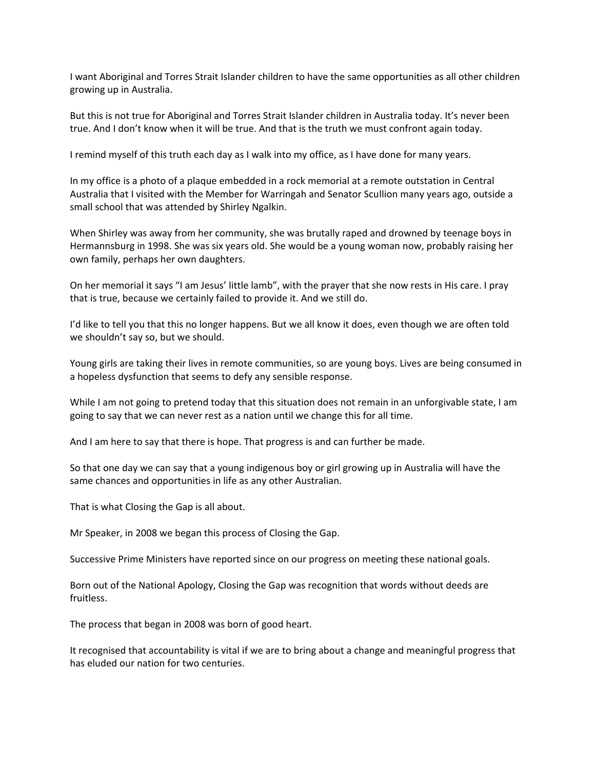I want Aboriginal and Torres Strait Islander children to have the same opportunities as all other children growing up in Australia.

But this is not true for Aboriginal and Torres Strait Islander children in Australia today. It's never been true. And I don't know when it will be true. And that is the truth we must confront again today.

I remind myself of this truth each day as I walk into my office, as I have done for many years.

In my office is a photo of a plaque embedded in a rock memorial at a remote outstation in Central Australia that I visited with the Member for Warringah and Senator Scullion many years ago, outside a small school that was attended by Shirley Ngalkin.

When Shirley was away from her community, she was brutally raped and drowned by teenage boys in Hermannsburg in 1998. She was six years old. She would be a young woman now, probably raising her own family, perhaps her own daughters.

On her memorial it says "I am Jesus' little lamb", with the prayer that she now rests in His care. I pray that is true, because we certainly failed to provide it. And we still do.

I'd like to tell you that this no longer happens. But we all know it does, even though we are often told we shouldn't say so, but we should.

Young girls are taking their lives in remote communities, so are young boys. Lives are being consumed in a hopeless dysfunction that seems to defy any sensible response.

While I am not going to pretend today that this situation does not remain in an unforgivable state, I am going to say that we can never rest as a nation until we change this for all time.

And I am here to say that there is hope. That progress is and can further be made.

So that one day we can say that a young indigenous boy or girl growing up in Australia will have the same chances and opportunities in life as any other Australian.

That is what Closing the Gap is all about.

Mr Speaker, in 2008 we began this process of Closing the Gap.

Successive Prime Ministers have reported since on our progress on meeting these national goals.

Born out of the National Apology, Closing the Gap was recognition that words without deeds are fruitless.

The process that began in 2008 was born of good heart.

It recognised that accountability is vital if we are to bring about a change and meaningful progress that has eluded our nation for two centuries.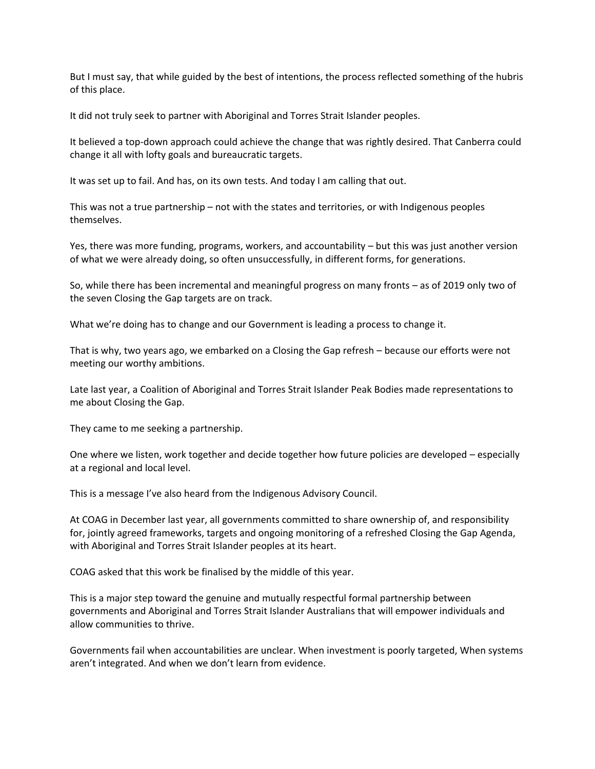But I must say, that while guided by the best of intentions, the process reflected something of the hubris of this place.

It did not truly seek to partner with Aboriginal and Torres Strait Islander peoples.

It believed a top-down approach could achieve the change that was rightly desired. That Canberra could change it all with lofty goals and bureaucratic targets.

It was set up to fail. And has, on its own tests. And today I am calling that out.

This was not a true partnership – not with the states and territories, or with Indigenous peoples themselves.

Yes, there was more funding, programs, workers, and accountability – but this was just another version of what we were already doing, so often unsuccessfully, in different forms, for generations.

So, while there has been incremental and meaningful progress on many fronts – as of 2019 only two of the seven Closing the Gap targets are on track.

What we're doing has to change and our Government is leading a process to change it.

That is why, two years ago, we embarked on a Closing the Gap refresh – because our efforts were not meeting our worthy ambitions.

Late last year, a Coalition of Aboriginal and Torres Strait Islander Peak Bodies made representations to me about Closing the Gap.

They came to me seeking a partnership.

One where we listen, work together and decide together how future policies are developed – especially at a regional and local level.

This is a message I've also heard from the Indigenous Advisory Council.

At COAG in December last year, all governments committed to share ownership of, and responsibility for, jointly agreed frameworks, targets and ongoing monitoring of a refreshed Closing the Gap Agenda, with Aboriginal and Torres Strait Islander peoples at its heart.

COAG asked that this work be finalised by the middle of this year.

This is a major step toward the genuine and mutually respectful formal partnership between governments and Aboriginal and Torres Strait Islander Australians that will empower individuals and allow communities to thrive.

Governments fail when accountabilities are unclear. When investment is poorly targeted, When systems aren't integrated. And when we don't learn from evidence.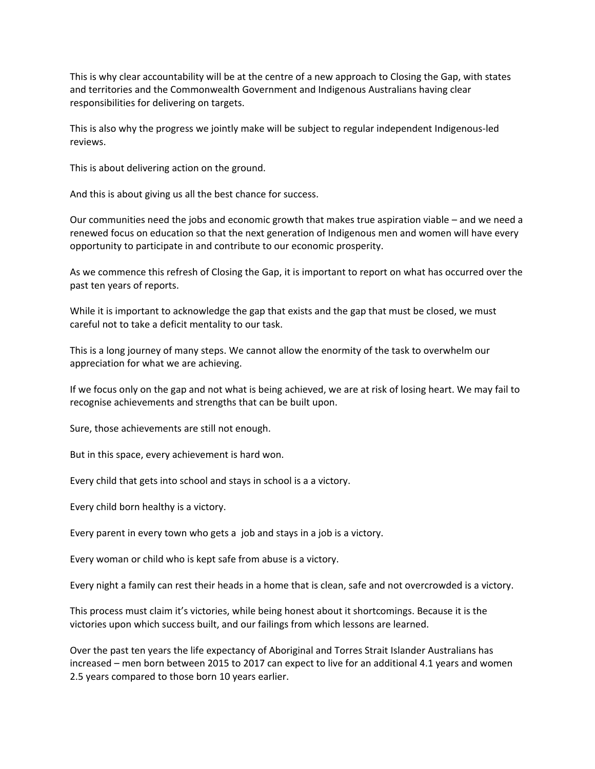This is why clear accountability will be at the centre of a new approach to Closing the Gap, with states and territories and the Commonwealth Government and Indigenous Australians having clear responsibilities for delivering on targets.

This is also why the progress we jointly make will be subject to regular independent Indigenous-led reviews.

This is about delivering action on the ground.

And this is about giving us all the best chance for success.

Our communities need the jobs and economic growth that makes true aspiration viable – and we need a renewed focus on education so that the next generation of Indigenous men and women will have every opportunity to participate in and contribute to our economic prosperity.

As we commence this refresh of Closing the Gap, it is important to report on what has occurred over the past ten years of reports.

While it is important to acknowledge the gap that exists and the gap that must be closed, we must careful not to take a deficit mentality to our task.

This is a long journey of many steps. We cannot allow the enormity of the task to overwhelm our appreciation for what we are achieving.

If we focus only on the gap and not what is being achieved, we are at risk of losing heart. We may fail to recognise achievements and strengths that can be built upon.

Sure, those achievements are still not enough.

But in this space, every achievement is hard won.

Every child that gets into school and stays in school is a a victory.

Every child born healthy is a victory.

Every parent in every town who gets a job and stays in a job is a victory.

Every woman or child who is kept safe from abuse is a victory.

Every night a family can rest their heads in a home that is clean, safe and not overcrowded is a victory.

This process must claim it's victories, while being honest about it shortcomings. Because it is the victories upon which success built, and our failings from which lessons are learned.

Over the past ten years the life expectancy of Aboriginal and Torres Strait Islander Australians has increased – men born between 2015 to 2017 can expect to live for an additional 4.1 years and women 2.5 years compared to those born 10 years earlier.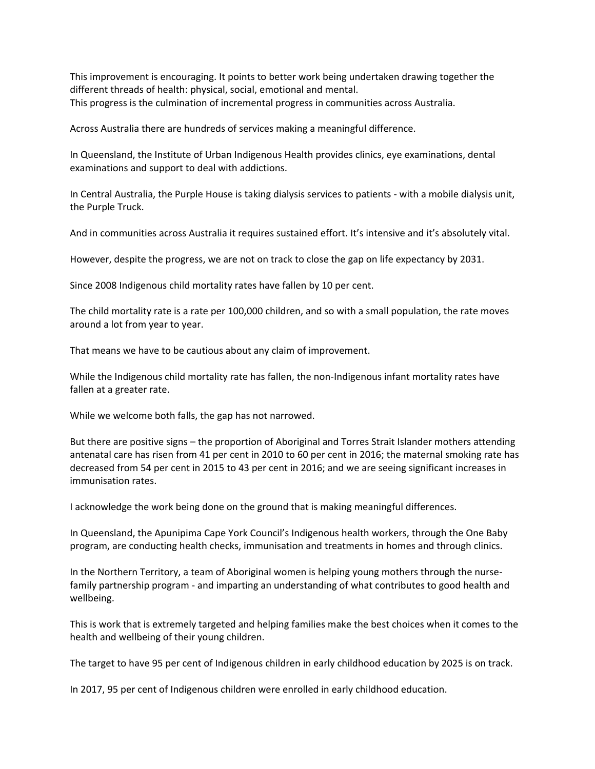This improvement is encouraging. It points to better work being undertaken drawing together the different threads of health: physical, social, emotional and mental. This progress is the culmination of incremental progress in communities across Australia.

Across Australia there are hundreds of services making a meaningful difference.

In Queensland, the Institute of Urban Indigenous Health provides clinics, eye examinations, dental examinations and support to deal with addictions.

In Central Australia, the Purple House is taking dialysis services to patients - with a mobile dialysis unit, the Purple Truck.

And in communities across Australia it requires sustained effort. It's intensive and it's absolutely vital.

However, despite the progress, we are not on track to close the gap on life expectancy by 2031.

Since 2008 Indigenous child mortality rates have fallen by 10 per cent.

The child mortality rate is a rate per 100,000 children, and so with a small population, the rate moves around a lot from year to year.

That means we have to be cautious about any claim of improvement.

While the Indigenous child mortality rate has fallen, the non-Indigenous infant mortality rates have fallen at a greater rate.

While we welcome both falls, the gap has not narrowed.

But there are positive signs – the proportion of Aboriginal and Torres Strait Islander mothers attending antenatal care has risen from 41 per cent in 2010 to 60 per cent in 2016; the maternal smoking rate has decreased from 54 per cent in 2015 to 43 per cent in 2016; and we are seeing significant increases in immunisation rates.

I acknowledge the work being done on the ground that is making meaningful differences.

In Queensland, the Apunipima Cape York Council's Indigenous health workers, through the One Baby program, are conducting health checks, immunisation and treatments in homes and through clinics.

In the Northern Territory, a team of Aboriginal women is helping young mothers through the nursefamily partnership program - and imparting an understanding of what contributes to good health and wellbeing.

This is work that is extremely targeted and helping families make the best choices when it comes to the health and wellbeing of their young children.

The target to have 95 per cent of Indigenous children in early childhood education by 2025 is on track.

In 2017, 95 per cent of Indigenous children were enrolled in early childhood education.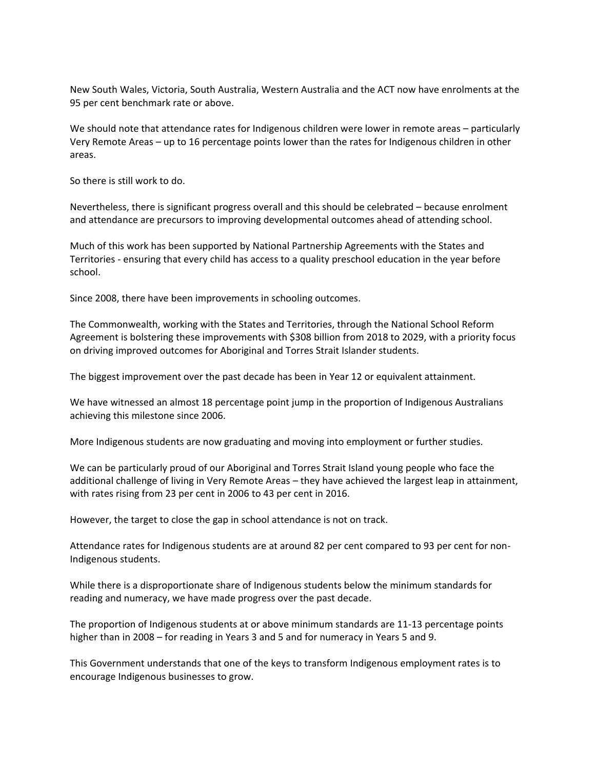New South Wales, Victoria, South Australia, Western Australia and the ACT now have enrolments at the 95 per cent benchmark rate or above.

We should note that attendance rates for Indigenous children were lower in remote areas – particularly Very Remote Areas – up to 16 percentage points lower than the rates for Indigenous children in other areas.

So there is still work to do.

Nevertheless, there is significant progress overall and this should be celebrated – because enrolment and attendance are precursors to improving developmental outcomes ahead of attending school.

Much of this work has been supported by National Partnership Agreements with the States and Territories - ensuring that every child has access to a quality preschool education in the year before school.

Since 2008, there have been improvements in schooling outcomes.

The Commonwealth, working with the States and Territories, through the National School Reform Agreement is bolstering these improvements with \$308 billion from 2018 to 2029, with a priority focus on driving improved outcomes for Aboriginal and Torres Strait Islander students.

The biggest improvement over the past decade has been in Year 12 or equivalent attainment.

We have witnessed an almost 18 percentage point jump in the proportion of Indigenous Australians achieving this milestone since 2006.

More Indigenous students are now graduating and moving into employment or further studies.

We can be particularly proud of our Aboriginal and Torres Strait Island young people who face the additional challenge of living in Very Remote Areas – they have achieved the largest leap in attainment, with rates rising from 23 per cent in 2006 to 43 per cent in 2016.

However, the target to close the gap in school attendance is not on track.

Attendance rates for Indigenous students are at around 82 per cent compared to 93 per cent for non-Indigenous students.

While there is a disproportionate share of Indigenous students below the minimum standards for reading and numeracy, we have made progress over the past decade.

The proportion of Indigenous students at or above minimum standards are 11-13 percentage points higher than in 2008 – for reading in Years 3 and 5 and for numeracy in Years 5 and 9.

This Government understands that one of the keys to transform Indigenous employment rates is to encourage Indigenous businesses to grow.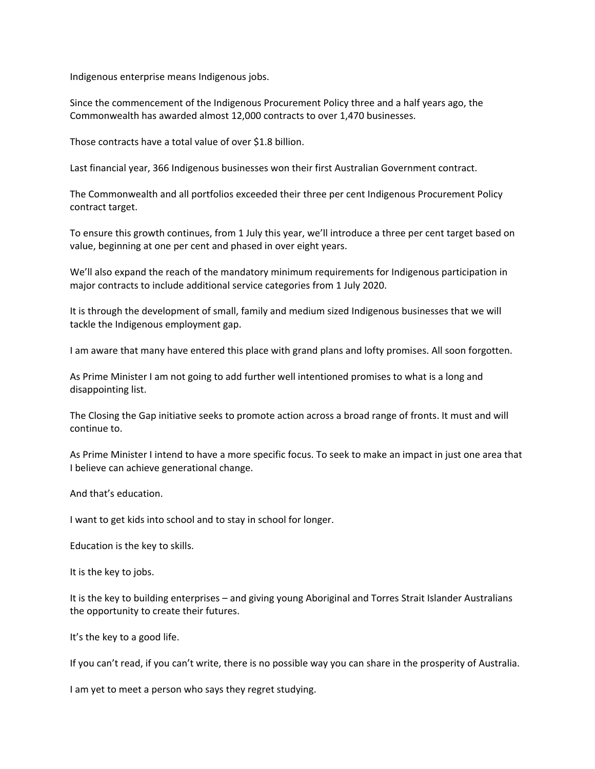Indigenous enterprise means Indigenous jobs.

Since the commencement of the Indigenous Procurement Policy three and a half years ago, the Commonwealth has awarded almost 12,000 contracts to over 1,470 businesses.

Those contracts have a total value of over \$1.8 billion.

Last financial year, 366 Indigenous businesses won their first Australian Government contract.

The Commonwealth and all portfolios exceeded their three per cent Indigenous Procurement Policy contract target.

To ensure this growth continues, from 1 July this year, we'll introduce a three per cent target based on value, beginning at one per cent and phased in over eight years.

We'll also expand the reach of the mandatory minimum requirements for Indigenous participation in major contracts to include additional service categories from 1 July 2020.

It is through the development of small, family and medium sized Indigenous businesses that we will tackle the Indigenous employment gap.

I am aware that many have entered this place with grand plans and lofty promises. All soon forgotten.

As Prime Minister I am not going to add further well intentioned promises to what is a long and disappointing list.

The Closing the Gap initiative seeks to promote action across a broad range of fronts. It must and will continue to.

As Prime Minister I intend to have a more specific focus. To seek to make an impact in just one area that I believe can achieve generational change.

And that's education.

I want to get kids into school and to stay in school for longer.

Education is the key to skills.

It is the key to jobs.

It is the key to building enterprises – and giving young Aboriginal and Torres Strait Islander Australians the opportunity to create their futures.

It's the key to a good life.

If you can't read, if you can't write, there is no possible way you can share in the prosperity of Australia.

I am yet to meet a person who says they regret studying.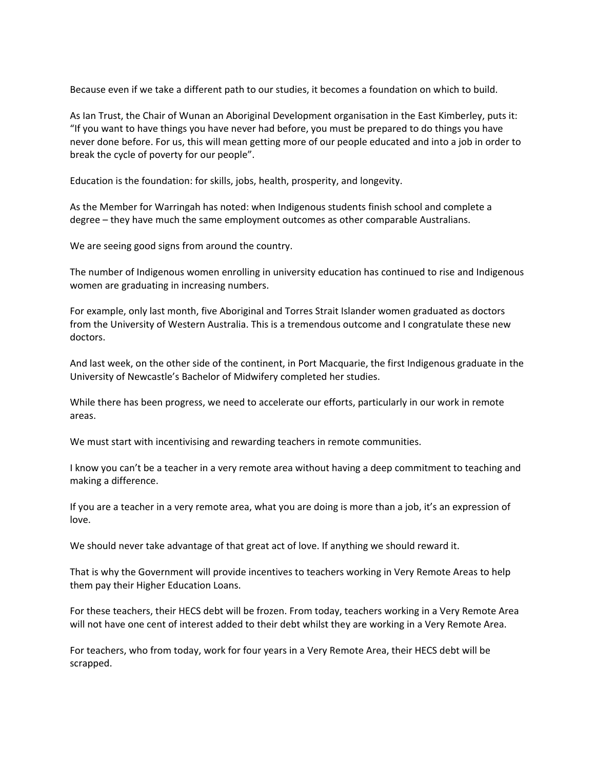Because even if we take a different path to our studies, it becomes a foundation on which to build.

As Ian Trust, the Chair of Wunan an Aboriginal Development organisation in the East Kimberley, puts it: "If you want to have things you have never had before, you must be prepared to do things you have never done before. For us, this will mean getting more of our people educated and into a job in order to break the cycle of poverty for our people".

Education is the foundation: for skills, jobs, health, prosperity, and longevity.

As the Member for Warringah has noted: when Indigenous students finish school and complete a degree – they have much the same employment outcomes as other comparable Australians.

We are seeing good signs from around the country.

The number of Indigenous women enrolling in university education has continued to rise and Indigenous women are graduating in increasing numbers.

For example, only last month, five Aboriginal and Torres Strait Islander women graduated as doctors from the University of Western Australia. This is a tremendous outcome and I congratulate these new doctors.

And last week, on the other side of the continent, in Port Macquarie, the first Indigenous graduate in the University of Newcastle's Bachelor of Midwifery completed her studies.

While there has been progress, we need to accelerate our efforts, particularly in our work in remote areas.

We must start with incentivising and rewarding teachers in remote communities.

I know you can't be a teacher in a very remote area without having a deep commitment to teaching and making a difference.

If you are a teacher in a very remote area, what you are doing is more than a job, it's an expression of love.

We should never take advantage of that great act of love. If anything we should reward it.

That is why the Government will provide incentives to teachers working in Very Remote Areas to help them pay their Higher Education Loans.

For these teachers, their HECS debt will be frozen. From today, teachers working in a Very Remote Area will not have one cent of interest added to their debt whilst they are working in a Very Remote Area.

For teachers, who from today, work for four years in a Very Remote Area, their HECS debt will be scrapped.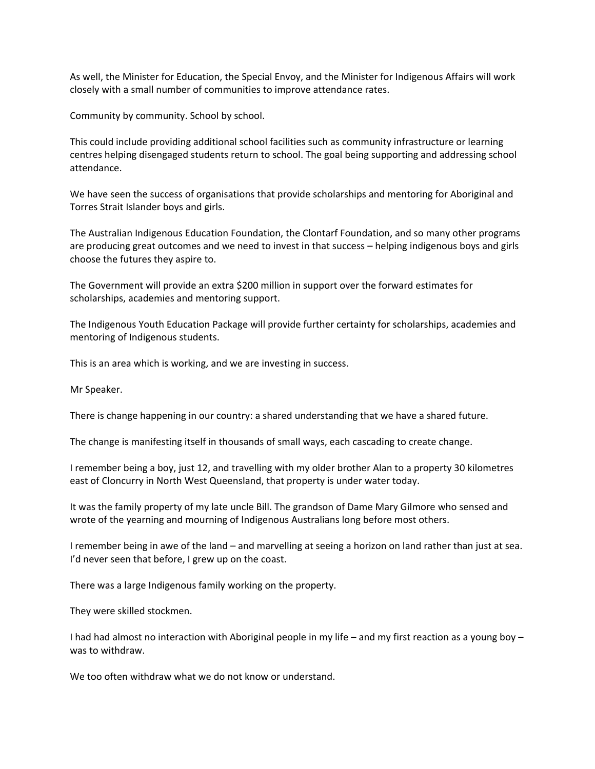As well, the Minister for Education, the Special Envoy, and the Minister for Indigenous Affairs will work closely with a small number of communities to improve attendance rates.

Community by community. School by school.

This could include providing additional school facilities such as community infrastructure or learning centres helping disengaged students return to school. The goal being supporting and addressing school attendance.

We have seen the success of organisations that provide scholarships and mentoring for Aboriginal and Torres Strait Islander boys and girls.

The Australian Indigenous Education Foundation, the Clontarf Foundation, and so many other programs are producing great outcomes and we need to invest in that success – helping indigenous boys and girls choose the futures they aspire to.

The Government will provide an extra \$200 million in support over the forward estimates for scholarships, academies and mentoring support.

The Indigenous Youth Education Package will provide further certainty for scholarships, academies and mentoring of Indigenous students.

This is an area which is working, and we are investing in success.

Mr Speaker.

There is change happening in our country: a shared understanding that we have a shared future.

The change is manifesting itself in thousands of small ways, each cascading to create change.

I remember being a boy, just 12, and travelling with my older brother Alan to a property 30 kilometres east of Cloncurry in North West Queensland, that property is under water today.

It was the family property of my late uncle Bill. The grandson of Dame Mary Gilmore who sensed and wrote of the yearning and mourning of Indigenous Australians long before most others.

I remember being in awe of the land – and marvelling at seeing a horizon on land rather than just at sea. I'd never seen that before, I grew up on the coast.

There was a large Indigenous family working on the property.

They were skilled stockmen.

I had had almost no interaction with Aboriginal people in my life – and my first reaction as a young boy – was to withdraw.

We too often withdraw what we do not know or understand.